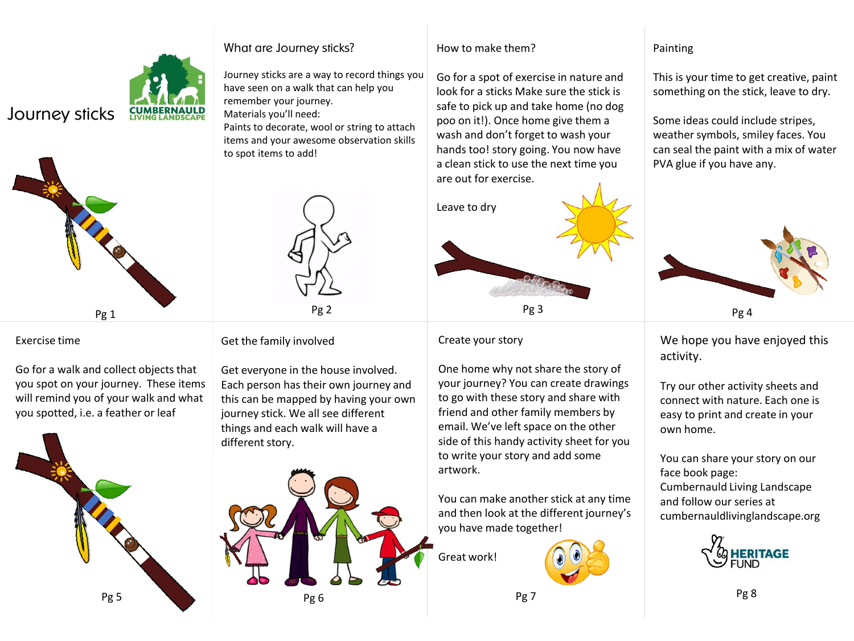### What are Journey sticks?

remember your journey. Materials you'll need:

to spot items to add!

Journey sticks are a way to record things you have seen on a walk that can help you

Paints to decorate, wool or string to attach items and your awesome observation skills

# Journey sticks



#### Exercise time

Go for a walk and collect objects that you spot on your journey. These items will remind you of your walk and what you spotted, i.e. a feather or leaf



Get the family involved

Get everyone in the house involved. Each person has their own journey and this can be mapped by having your own journey stick. We all see different things and each walk will have a different story.

Pg 2



#### How to make them?

Go for a spot of exercise in nature and look for a sticks Make sure the stick is safe to pick up and take home (no dog poo on it!). Once home give them a wash and don't forget to wash your hands too! story going. You now have a clean stick to use the next time you are out for exercise.



Create your story

One home why not share the story of your journey? You can create drawings to go with these story and share with friend and other family members by email. We've left space on the other side of this handy activity sheet for you to write your story and add some artwork.

You can make another stick at any time and then look at the different journey's you have made together!

Great work!



## Painting

This is your time to get creative, paint something on the stick, leave to dry.

Some ideas could include stripes, weather symbols, smiley faces. You can seal the paint with a mix of water PVA glue if you have any.



We hope you have enjoyed this activity.

Try our other activity sheets and connect with nature. Each one is easy to print and create in your own home.

You can share your story on our face book page: Cumbernauld Living Landscape and follow our series at cumbernauldlivinglandscape.org